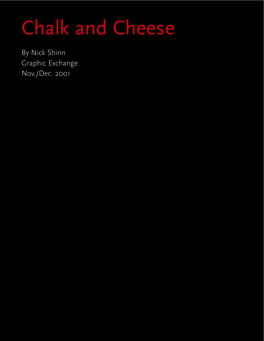# Chalk and Cheese

By Nick Shinn Graphic Exchange Nov./Dec. 2001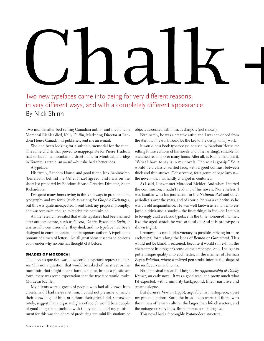Two new typefaces came into being for very different reasons, in very different ways, and with a completely different appearance. By Nick Shinn

Two months after best-selling Canadian author and media icon Mordecai Richler died, Kelly Duffin, Marketing Director at Random House Canada, his publisher, sent me an e-mail.

She had been looking for a suitable memorial for the man. The same clichés that proved so inappropriate for Pierre Trudeau had surfaced—a mountain, a street name in Montreal, a bridge in Toronto, a statue, an award—but she had a better idea.

A typeface.

His family, Random House, and good friend Jack Rabinovitch (benefactor behind the Giller Prize) agreed, and I was on the short list prepared by Random House Creative Director, Scott Richardson.

I've spent many hours trying to think up ways to promote both typography and my fonts, (such as writing for *Graphic Exchange*), but this was quite unexpected. I sent back my proposal promptly, and was fortunate enough to receive the commission.

A little research revealed that while typefaces had been named after authors before, such as *Cicero, Dante, Byron* and *Swift,* it was usually centuries after they died, and no typeface had been designed to commemorate a contemporary author. A typeface in honour of a man of letters: like all great ideas it seems so obvious you wonder why no one has thought of it before.

## SHADES OF MORDECAI

The obvious question was, how could a typeface represent a person? It's not a question that would be asked of the street or the mountain that might bear a famous name, but as a plastic art form, there was some expectation that the typeface would evoke Mordecai Richler.

My clients were a group of people who had all known him closely, and I had never met him. I could not presume to match their knowledge of him, or fathom their grief. I did, somewhat tritely, suggest that a cigar and glass of scotch would be a couple of good dingbats to include with the typeface, and my punishment for this was the chore of producing ten mini-illustrations of objects associated with him, as dingbats (not shown).

Fortunately, he was a creative artist, and I was convinced from the start that *his* work would be the key to the design of *my* work.

It would be a book typeface (to be used by Random House for setting future editions of his novels and other writing), suitable for sustained reading over many hours. After all, as Richler had put it, "What I have to say is in my novels. The rest is gossip." So it would be a classic, serifed face, with a good contrast between thick and thin strokes. Conservative, for a genre of page layout the novel—that has hardly changed in centuries.

As I said, I never met Mordecai Richler. And when I started the commission, I hadn't read any of his novels. Nonetheless, I was familiar with his journalism in the *National Post* and other periodicals over the years, and of course, he was a celebrity, so he was an old acquaintance. He was well known as a man who enjoyed a drink and a smoke—the finer things in life—so I set out to lovingly craft a classic typeface in the time-honoured manner, like the aged scotch he was so fond of. And this prototype is shown (right).

I removed as much idiosyncracy as possible, striving for pure archetypal form along the lines of *Bembo* or *Garamond.* This would not be bland, I reasoned, because it would still exhibit the character of its designer's sense of the archetype. Still, I sought to put a unique quality into each letter, in the manner of Herman Zapf's *Palatino,* where a stylized pen stroke informs the shape of the serifs, curves, and joints.

For contextual research, I began *The Apprenticeship of Duddy Kravitz,* an early novel. It was a good read, and pretty much what I'd expected, with a minority background, linear narrative and smart dialogue.

But *Barney's Version* (1996), arguably his masterpiece, upset my preconceptions. Sure, the broad jokes were still there, with the milieu of Jewish culture, the larger than life characters, and the outrageous story lines. But there was something else.

This novel had a thoroughly Post-modern structure.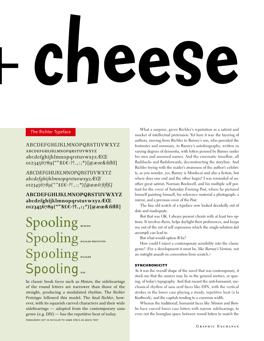# cneese

ABCDEFGHIJKLMNOPQRSTUVWXYZ abcdefghijklmnopqrstuvwxyz abcdefghijklmnopqrstuvwxyzÆŒ 0123456789(""\$£€-?!.,:;\*)[@æœ&fiflß]

*ABCDEFGHIJKLMNOPQRSTUVWXYZ abcdefghijklmnopqrstuvwxyzÆŒ 0123456789(""\$£€-?!.,:;\*)[@æœ&fiflß]*

**ABCDEFGHIJKLMNOPQRSTUVWXYZ abcdefghijklmnopqrstuvwxyzÆŒ 0123456789(""\$£€-?!.,:;\*)[@æœ&fiflß]**

**Spooling** Spooling **Spooling Spooling** 

In classic book faces such as *Minion*, the sidebearings of the round letters are narrower than those of the straight, producing a modulated rhythm. The *Richler Prototype* followed this model. The final *Richler*, however, with its squarish curved characters and their wide sidebearings — adopted from the contemporary sans genre (e.g. *DIN*) — has the repetitive beat of today. paragraph set in richler to same specs as main text

The Richler Typeface What a surprise, given Richler's reputation as a satirist and mocker of intellectual pretension. Yet here it was: the layering of authors, moving from Richler to Barney's son, who provided the footnotes and summary, to Barney's autobiography, written in varying degrees of dementia, with letters penned by Barney under his own and assumed names. And the cinematic timeflow, all flashbacks and flashforwards, deconstructing the storyline. And Richler toying with the reader's awareness of the author's celebrity, as you wonder, yes, Barney is Mordecai and also a fiction, but where does one end and the other begin? I was reminded of another great satirist, Norman Rockwell, and his multiple self portrait for the cover of *Saturday Evening Post,* where he pictured himself painting himself, his reference material a photograph, a mirror, and a previous cover of the *Post.*

> The fine old scotch of a typeface now looked decidedly out of date and inadequate.

> But that was OK. I always present clients with at least two options. It involves them, helps daylight their preferences, and keeps me out of the rut of self expression which the single-solution *fait accompli* can lead to.

But what would option B be?

How could I inject a contemporary sensibility into the classic genre? (For a development it must be, like *Barney's Version,* not an outright assault on convention from scratch.)

# **SYNCHRONICITY**

As it was the overall shape of the novel that was contemporary, it stuck me that the answer may lie in the general metrics, or spacing, of today's typography. And that meant the anti-humanist, mechanical rhythm of sans serif faces like *DIN,* with the vertical strokes in the lower case playing a steady, repetitive beat (à la Kraftwerk), and the capitals tending to a common width.

Whereas the traditional, humanist faces like *Minion* and *Bembo* have curved lower case letters with narrow sidebearings, to even out the hourglass space between round letters to match the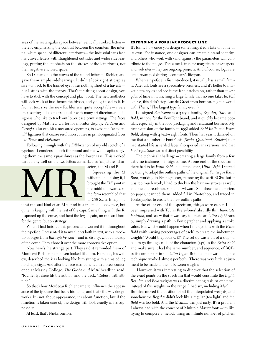area of the rectangular space between vertically stroked letters thereby emphasizing the contrast between the counters (the internal white space) of different letterforms—the industrial sans face has curved letters with straightened out sides and wider sidebearings, putting the emphasis on the strokes of the letterforms, not their negative enclosed space.

So I squared up the curves of the round letters in Richler, and gave them ample sidebearings. It didn't look right at display size—in fact, to the trained eye it was nothing short of a travesty but I stuck with the theory. That's the thing about design, you have to stick with the concept and play it out. The new aesthetics will look wack at first, hence the frisson, and you get used to it. In fact, at text size the new Richler was quite acceptable—a very open setting, a look that's popular with many art directors and designers who like to track out lower case print settings. The faces designed by Matthew Carter for monitor display, *Verdana* and *Georgia,* also exhibit a measured openness, to avoid the "accidental" ligatures that coarse resolution causes in print-originated faces like *Times* and *Helvetica.*

Following through with the *DIN*-ization of my old scotch of a typeface, I condensed both the round and the wide capitals, giving them the same squarishness as the lower case. This worked particularly well on the two letters earmarked as "signature" char-



acters, the M and R.

Squeezing the M without condensing it, I brought the "V" joint in the middle upwards, so the form resembled that of *Gill Sans.* Bingo!—a

most unusual kind of an M to find in a traditional book face, but quite in keeping with the rest of the caps. Same thing with the R: I squared up the curve, and bent the leg—again, an unusual form for the genre, but on strategy.

When I had finished this process, and worked it in throughout the typeface, I presented it to my clients both in text, with a mockup of pages from *Barney's Version*—and in display, with a mockup of the cover. They chose it over the more conservative option.

Now here's the strange part: They said it reminded them of Mordecai Richler, that it even looked like him. Florence, his widow, described the k as looking like him sitting with a crossed leg holding a cigar. And after the face was launched in a press conference at Massey College, *The Globe and Mail* headline read, "Richler typeface fits the author" and the deck, "Robust, with attitude".

So that's how Mordecai Richler came to influence the appearance of the typeface that bears his name, and that's the way design works. It's not about appearance, it's about function; but if the function is taken care of, the design will look exactly as it's supposed to.

At least, that's Nick's version.

It's funny how once you design something, it can take on a life of its own. For instance, one designer can create a brand identity, and others who work with (and against!) the parameters will contribute to the image. The same is true for magazines, newspapers, and web sites—they are ongoing projects. And of course, logos are often revamped during a company's lifespan.

When a typeface is first introduced, it usually has a small family. After all, fonts are a speculative business, and it's better to market a few styles and see if the face catches on, rather than invest gobs of time in launching a large family that no one takes to. (Of course, this didn't stop Luc de Groot from bombarding the world with *Thesis,* "The largest type family ever".)

I designed *Fontesque* as a 3-style family, *Regular, Italic* and *Bold,* in 1994 for the FontFont brand, and it quickly became popular, especially in the food packaging and restaurant business. My first extension of the family in 1998 added *Bold Italic* and *Extra Bold,* along with 4 text-weight fonts. Then last year it dawned on me that a number of FontFonts (*Scala, Quadraat, Eureka*) that had started life as serifed faces also sported sans versions, and that *Fontesque Sans* was a distinct possibility.

The technical challenge—creating a large family from a few extreme instances—intrigued me. At one end of the spectrum, there had to be *Extra Bold,* and at the other, *Ultra Light.* I started by trying to adapt the outline paths of the original *Fontesque Extra Bold,* working in Fontographer, removing the serif BCPs, but it was too much work; I had to thicken the hairline strokes as well, and the end result was stiff and awkward. So I drew the characters on paper, scanned them, added fill in Photoshop, and traced in Fontographer to create the new outline paths.

At the other end of the spectrum, things were easier. I had been impressed with Tobias Frere-Jones' absurdly thin *Interstate Hairline*, and knew that it was easy to create an *Ultra Light* sans by simply drawing a path in Fontographer and applying a stroke value. But what would happen when I merged this with the *Extra Bold* (with varying percentages of each) to create the in-between weights? Would they look OK? The set up was a bit of a slog—I had to go through each of the characters (257) in the *Extra Bold* and make sure it had the same number, and sequence, of BCPs as its counterpart in the *Ultra Light.* But once that was done, the technique worked almost perfectly. There was very little adjustment to be made of the in-between weights.

However, it was interesting to discover that the selection of the exact points on the spectrum that would constitute the *Light, Regular,* and *Bold* weights was a discriminating task. At one time, instead of five weights in the range, I had six, including *Medium.* But that moved the position of all the interpolated weights, and somehow the *Regular* didn't look like a regular (too light) and the *Bold* was too bold. And the *Medium* was just nasty. It's a problem I always had with the concept of Multiple Master fonts—it's like trying to compose a melody using an infinite number of pitches;